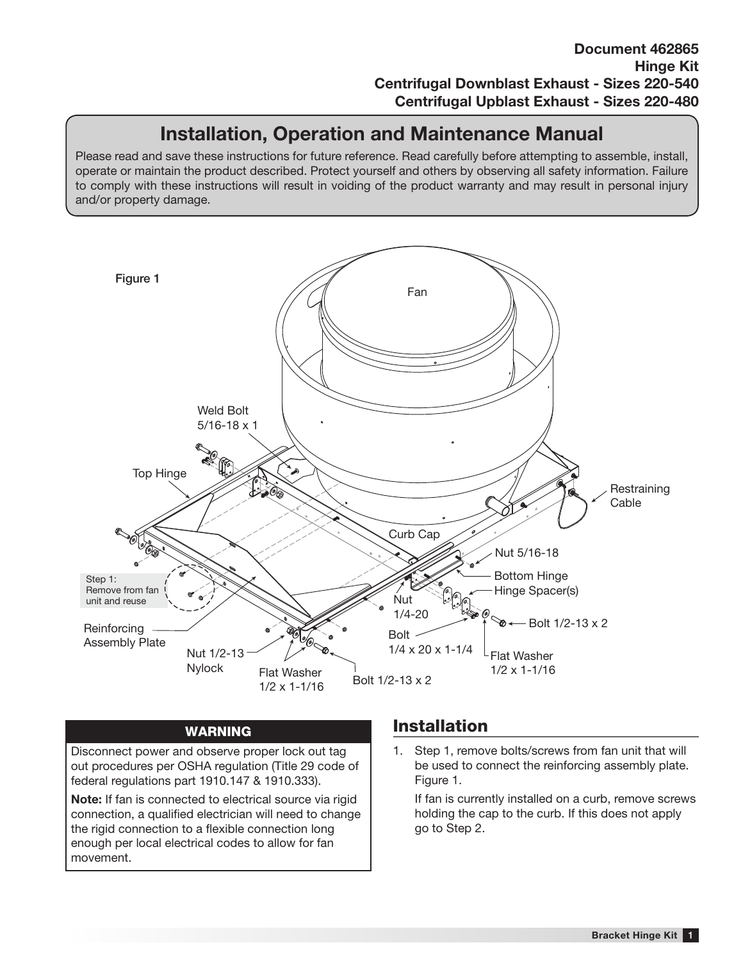## **Installation, Operation and Maintenance Manual**

Please read and save these instructions for future reference. Read carefully before attempting to assemble, install, operate or maintain the product described. Protect yourself and others by observing all safety information. Failure to comply with these instructions will result in voiding of the product warranty and may result in personal injury and/or property damage.



## **WARNING**

Disconnect power and observe proper lock out tag out procedures per OSHA regulation (Title 29 code of federal regulations part 1910.147 & 1910.333).

**Note:** If fan is connected to electrical source via rigid connection, a qualified electrician will need to change the rigid connection to a flexible connection long enough per local electrical codes to allow for fan movement.

## **Installation**

1. Step 1, remove bolts/screws from fan unit that will be used to connect the reinforcing assembly plate. Figure 1.

If fan is currently installed on a curb, remove screws holding the cap to the curb. If this does not apply go to Step 2.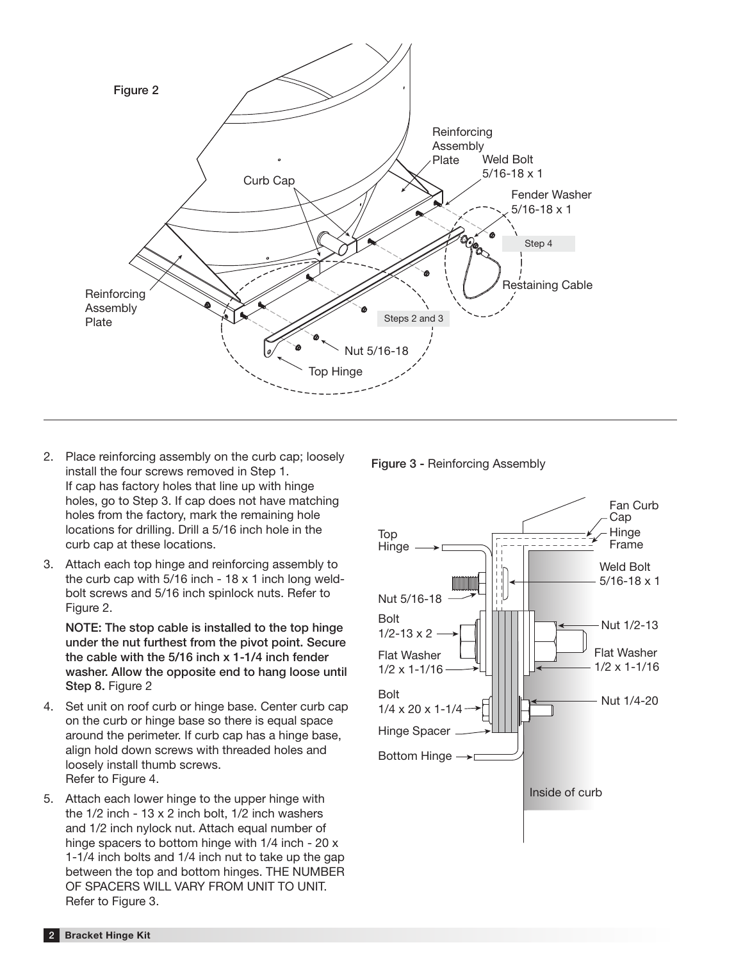

- 2. Place reinforcing assembly on the curb cap; loosely install the four screws removed in Step 1. If cap has factory holes that line up with hinge holes, go to Step 3. If cap does not have matching holes from the factory, mark the remaining hole locations for drilling. Drill a 5/16 inch hole in the curb cap at these locations.
- 3. Attach each top hinge and reinforcing assembly to the curb cap with  $5/16$  inch -  $18 \times 1$  inch long weldbolt screws and 5/16 inch spinlock nuts. Refer to Figure 2.

**NOTE: The stop cable is installed to the top hinge under the nut furthest from the pivot point. Secure the cable with the 5/16 inch x 1-1/4 inch fender washer. Allow the opposite end to hang loose until Step 8.** Figure 2

- 4. Set unit on roof curb or hinge base. Center curb cap on the curb or hinge base so there is equal space around the perimeter. If curb cap has a hinge base, align hold down screws with threaded holes and loosely install thumb screws. Refer to Figure 4.
- 5. Attach each lower hinge to the upper hinge with the 1/2 inch - 13 x 2 inch bolt, 1/2 inch washers and 1/2 inch nylock nut. Attach equal number of hinge spacers to bottom hinge with 1/4 inch - 20 x 1-1/4 inch bolts and 1/4 inch nut to take up the gap between the top and bottom hinges. THE NUMBER OF SPACERS WILL VARY FROM UNIT TO UNIT. Refer to Figure 3.

**Figure 3 -** Reinforcing Assembly

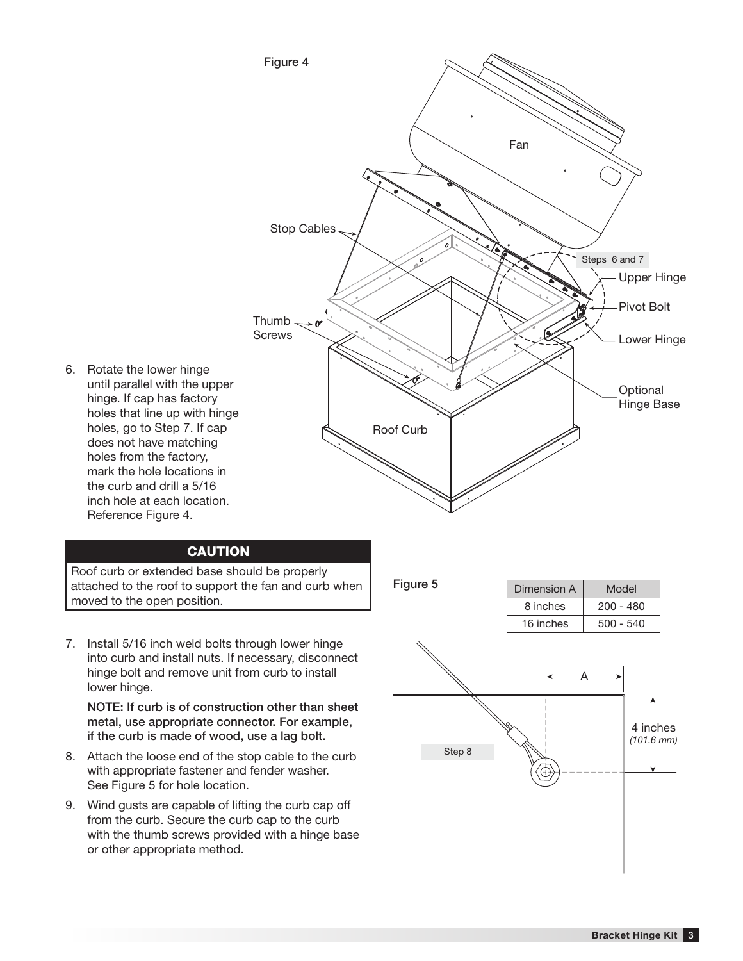

into curb and install nuts. If necessary, disconnect hinge bolt and remove unit from curb to install lower hinge.

**metal, use appropriate connector. For example, if the curb is made of wood, use a lag bolt.**

- 8. Attach the loose end of the stop cable to the curb with appropriate fastener and fender washer. See Figure 5 for hole location.
- 9. Wind gusts are capable of lifting the curb cap off from the curb. Secure the curb cap to the curb with the thumb screws provided with a hinge base or other appropriate method.